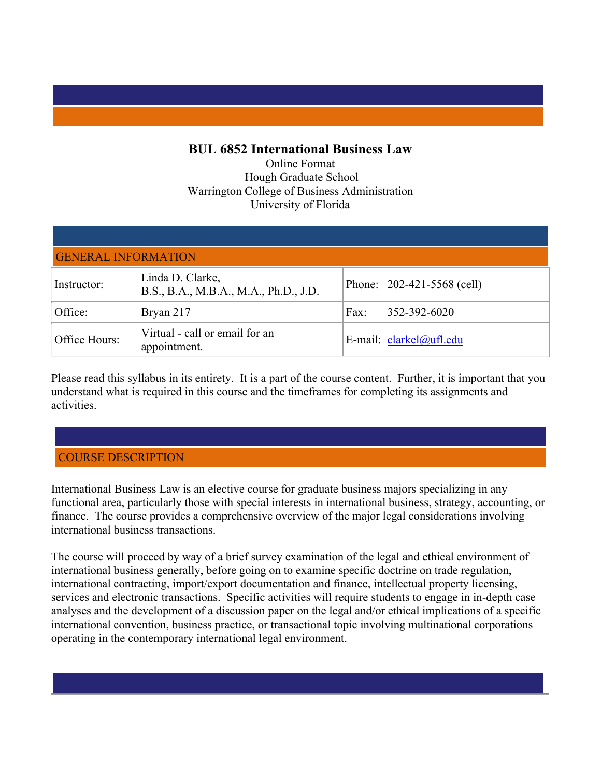## **BUL 6852 International Business Law**

Online Format Hough Graduate School Warrington College of Business Administration University of Florida

| <b>GENERAL INFORMATION</b> |                                                           |      |                            |
|----------------------------|-----------------------------------------------------------|------|----------------------------|
| Instructor:                | Linda D. Clarke,<br>B.S., B.A., M.B.A., M.A., Ph.D., J.D. |      | Phone: 202-421-5568 (cell) |
| Office:                    | Bryan 217                                                 | Fax: | 352-392-6020               |
| Office Hours:              | Virtual - call or email for an<br>appointment.            |      | E-mail: clarkel@ufl.edu    |

Please read this syllabus in its entirety. It is a part of the course content. Further, it is important that you understand what is required in this course and the timeframes for completing its assignments and activities.

# COURSE DESCRIPTION

International Business Law is an elective course for graduate business majors specializing in any functional area, particularly those with special interests in international business, strategy, accounting, or finance. The course provides a comprehensive overview of the major legal considerations involving international business transactions.

The course will proceed by way of a brief survey examination of the legal and ethical environment of international business generally, before going on to examine specific doctrine on trade regulation, international contracting, import/export documentation and finance, intellectual property licensing, services and electronic transactions. Specific activities will require students to engage in in-depth case analyses and the development of a discussion paper on the legal and/or ethical implications of a specific international convention, business practice, or transactional topic involving multinational corporations operating in the contemporary international legal environment.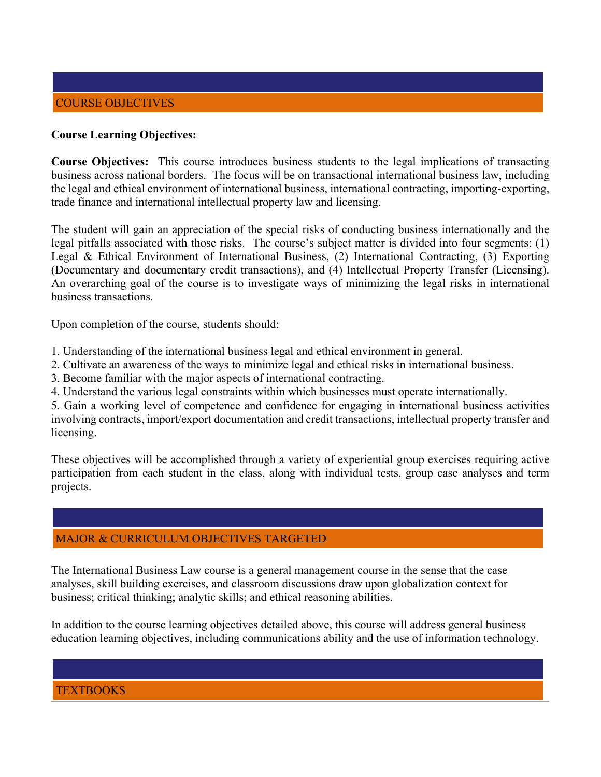### **Course Learning Objectives:**

**Course Objectives:** This course introduces business students to the legal implications of transacting business across national borders. The focus will be on transactional international business law, including the legal and ethical environment of international business, international contracting, importing-exporting, trade finance and international intellectual property law and licensing.

The student will gain an appreciation of the special risks of conducting business internationally and the legal pitfalls associated with those risks. The course's subject matter is divided into four segments: (1) Legal & Ethical Environment of International Business, (2) International Contracting, (3) Exporting (Documentary and documentary credit transactions), and (4) Intellectual Property Transfer (Licensing). An overarching goal of the course is to investigate ways of minimizing the legal risks in international business transactions.

Upon completion of the course, students should:

- 1. Understanding of the international business legal and ethical environment in general.
- 2. Cultivate an awareness of the ways to minimize legal and ethical risks in international business.
- 3. Become familiar with the major aspects of international contracting.
- 4. Understand the various legal constraints within which businesses must operate internationally.

5. Gain a working level of competence and confidence for engaging in international business activities involving contracts, import/export documentation and credit transactions, intellectual property transfer and licensing.

These objectives will be accomplished through a variety of experiential group exercises requiring active participation from each student in the class, along with individual tests, group case analyses and term projects.

## MAJOR & CURRICULUM OBJECTIVES TARGETED

The International Business Law course is a general management course in the sense that the case analyses, skill building exercises, and classroom discussions draw upon globalization context for business; critical thinking; analytic skills; and ethical reasoning abilities.

In addition to the course learning objectives detailed above, this course will address general business education learning objectives, including communications ability and the use of information technology.

**TEXTBOOKS**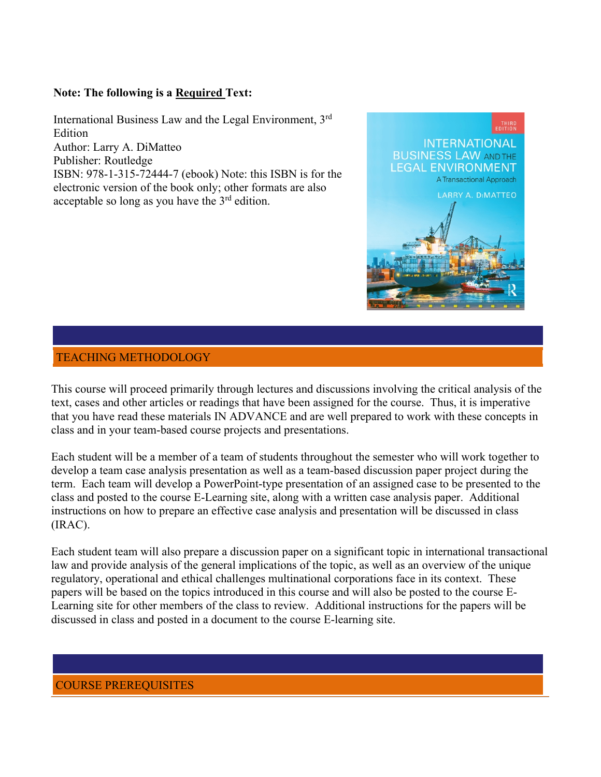## **Note: The following is a Required Text:**

International Business Law and the Legal Environment, 3rd Edition Author: Larry A. DiMatteo Publisher: Routledge ISBN: 978-1-315-72444-7 (ebook) Note: this ISBN is for the electronic version of the book only; other formats are also acceptable so long as you have the  $3<sup>rd</sup>$  edition.



## TEACHING METHODOLOGY

This course will proceed primarily through lectures and discussions involving the critical analysis of the text, cases and other articles or readings that have been assigned for the course. Thus, it is imperative that you have read these materials IN ADVANCE and are well prepared to work with these concepts in class and in your team-based course projects and presentations.

Each student will be a member of a team of students throughout the semester who will work together to develop a team case analysis presentation as well as a team-based discussion paper project during the term. Each team will develop a PowerPoint-type presentation of an assigned case to be presented to the class and posted to the course E-Learning site, along with a written case analysis paper. Additional instructions on how to prepare an effective case analysis and presentation will be discussed in class (IRAC).

Each student team will also prepare a discussion paper on a significant topic in international transactional law and provide analysis of the general implications of the topic, as well as an overview of the unique regulatory, operational and ethical challenges multinational corporations face in its context. These papers will be based on the topics introduced in this course and will also be posted to the course E-Learning site for other members of the class to review. Additional instructions for the papers will be discussed in class and posted in a document to the course E-learning site.

## COURSE PREREQUISITES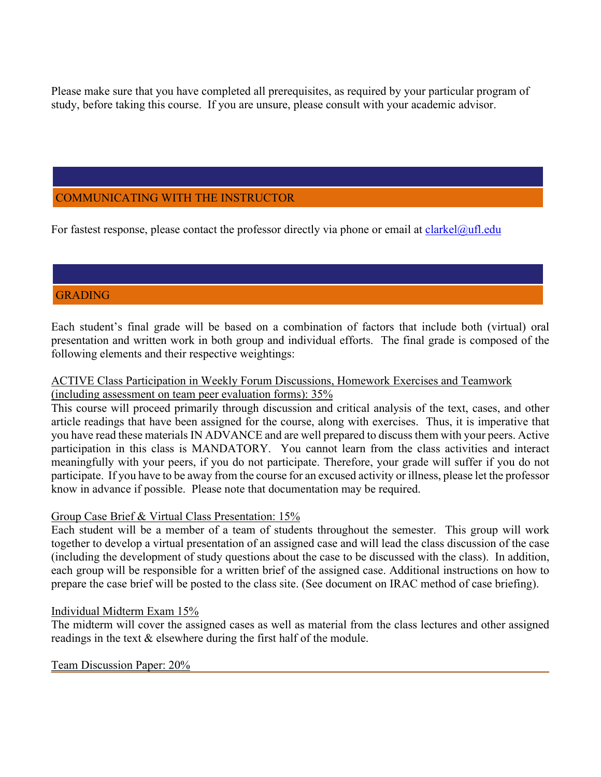Please make sure that you have completed all prerequisites, as required by your particular program of study, before taking this course. If you are unsure, please consult with your academic advisor.

# COMMUNICATING WITH THE INSTRUCTOR

For fastest response, please contact the professor directly via phone or email at [clarkel@ufl.edu](mailto:clarkel@ufl.edu)

# GRADING

Each student's final grade will be based on a combination of factors that include both (virtual) oral presentation and written work in both group and individual efforts. The final grade is composed of the following elements and their respective weightings:

### ACTIVE Class Participation in Weekly Forum Discussions, Homework Exercises and Teamwork (including assessment on team peer evaluation forms): 35%

This course will proceed primarily through discussion and critical analysis of the text, cases, and other article readings that have been assigned for the course, along with exercises. Thus, it is imperative that you have read these materials IN ADVANCE and are well prepared to discuss them with your peers. Active participation in this class is MANDATORY. You cannot learn from the class activities and interact meaningfully with your peers, if you do not participate. Therefore, your grade will suffer if you do not participate. If you have to be away from the course for an excused activity or illness, please let the professor know in advance if possible. Please note that documentation may be required.

## Group Case Brief & Virtual Class Presentation: 15%

Each student will be a member of a team of students throughout the semester. This group will work together to develop a virtual presentation of an assigned case and will lead the class discussion of the case (including the development of study questions about the case to be discussed with the class). In addition, each group will be responsible for a written brief of the assigned case. Additional instructions on how to prepare the case brief will be posted to the class site. (See document on IRAC method of case briefing).

### Individual Midterm Exam 15%

The midterm will cover the assigned cases as well as material from the class lectures and other assigned readings in the text & elsewhere during the first half of the module.

### Team Discussion Paper: 20%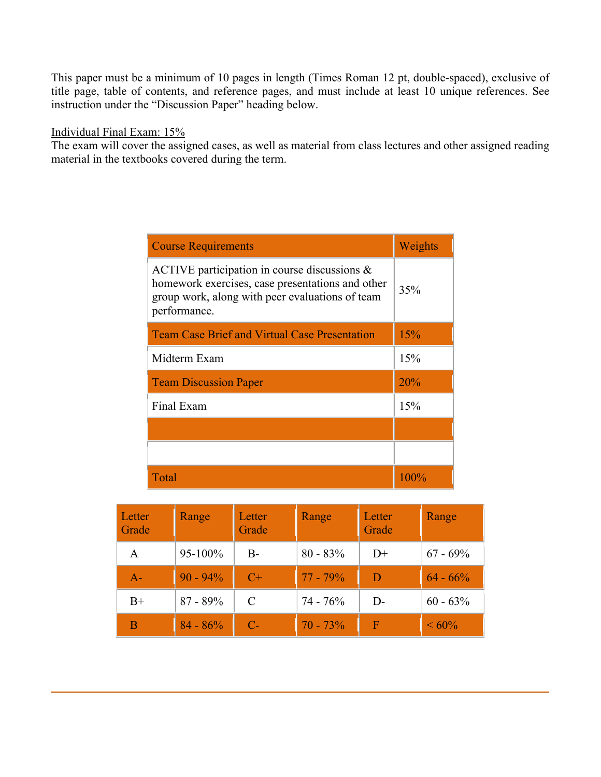This paper must be a minimum of 10 pages in length (Times Roman 12 pt, double-spaced), exclusive of title page, table of contents, and reference pages, and must include at least 10 unique references. See instruction under the "Discussion Paper" heading below.

#### Individual Final Exam: 15%

The exam will cover the assigned cases, as well as material from class lectures and other assigned reading material in the textbooks covered during the term.

| <b>Course Requirements</b>                                                                                                                                             | Weights |
|------------------------------------------------------------------------------------------------------------------------------------------------------------------------|---------|
| ACTIVE participation in course discussions $\&$<br>homework exercises, case presentations and other<br>group work, along with peer evaluations of team<br>performance. | 35%     |
| <b>Team Case Brief and Virtual Case Presentation</b>                                                                                                                   | 15%     |
| Midterm Exam                                                                                                                                                           | 15%     |
| <b>Team Discussion Paper</b>                                                                                                                                           | 20%     |
| Final Exam                                                                                                                                                             | 15%     |
|                                                                                                                                                                        |         |
|                                                                                                                                                                        |         |
| Total                                                                                                                                                                  | $100\%$ |

| Letter<br>Grade | Range       | Letter<br>Grade | Range       | Letter<br>Grade | Range       |
|-----------------|-------------|-----------------|-------------|-----------------|-------------|
| A               | 95-100%     | $B-$            | $80 - 83\%$ | $D+$            | $67 - 69\%$ |
| $A -$           | $90 - 94\%$ | $C+$            | $77 - 79\%$ | Ð               | $64 - 66\%$ |
| $B+$            | $87 - 89\%$ | C               | $74 - 76%$  | $D-$            | $60 - 63\%$ |
| B               | $84 - 86%$  | $C-$            | $70 - 73%$  | F               | $\leq 60\%$ |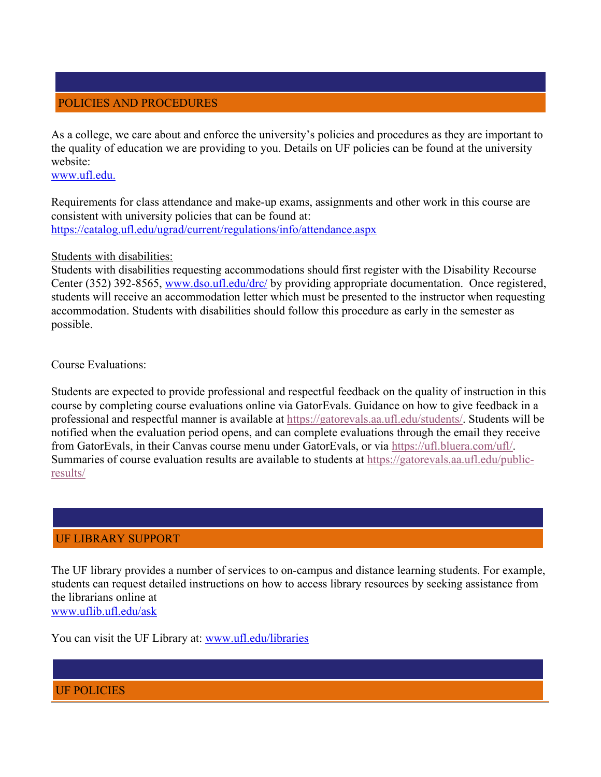## POLICIES AND PROCEDURES

As a college, we care about and enforce the university's policies and procedures as they are important to the quality of education we are providing to you. Details on UF policies can be found at the university website:

[www.ufl.edu.](http://www.ufl.edu/)

Requirements for class attendance and make-up exams, assignments and other work in this course are consistent with university policies that can be found at: <https://catalog.ufl.edu/ugrad/current/regulations/info/attendance.aspx>

#### Students with disabilities:

Students with disabilities requesting accommodations should first register with the Disability Recourse Center (352) 392-8565, [www.dso.ufl.edu/drc/](http://www.dso.ufl.edu/drc/) by providing appropriate documentation. Once registered, students will receive an accommodation letter which must be presented to the instructor when requesting accommodation. Students with disabilities should follow this procedure as early in the semester as possible.

Course Evaluations:

Students are expected to provide professional and respectful feedback on the quality of instruction in this course by completing course evaluations online via GatorEvals. Guidance on how to give feedback in a professional and respectful manner is available at [https://gatorevals.aa.ufl.edu/students/.](https://gatorevals.aa.ufl.edu/students/) Students will be notified when the evaluation period opens, and can complete evaluations through the email they receive from GatorEvals, in their Canvas course menu under GatorEvals, or via [https://ufl.bluera.com/ufl/.](https://urldefense.proofpoint.com/v2/url?u=https-3A__ufl.bluera.com_ufl_&d=DwMFAg&c=sJ6xIWYx-zLMB3EPkvcnVg&r=y2HjEMjRMHJhfdvLrqJZlYczRsfp5e4TfQjHuc5rVHg&m=WXko6OK_Ha6T00ZVAsEaSh99qRXHOgMNFRywCoehRho&s=itVU46DDJjnIg4CW6efJOOLgPjdzsPvCghyfzJoFONs&e=) Summaries of course evaluation results are available to students at [https://gatorevals.aa.ufl.edu/public](https://gatorevals.aa.ufl.edu/public-results/)[results/](https://gatorevals.aa.ufl.edu/public-results/)

## UF LIBRARY SUPPORT

The UF library provides a number of services to on-campus and distance learning students. For example, students can request detailed instructions on how to access library resources by seeking assistance from the librarians online at [www.uflib.ufl.edu/ask](http://www.uflib.ufl.edu/ask)

You can visit the UF Library at: [www.ufl.edu/libraries](http://www.ufl.edu/library)

UF POLICIES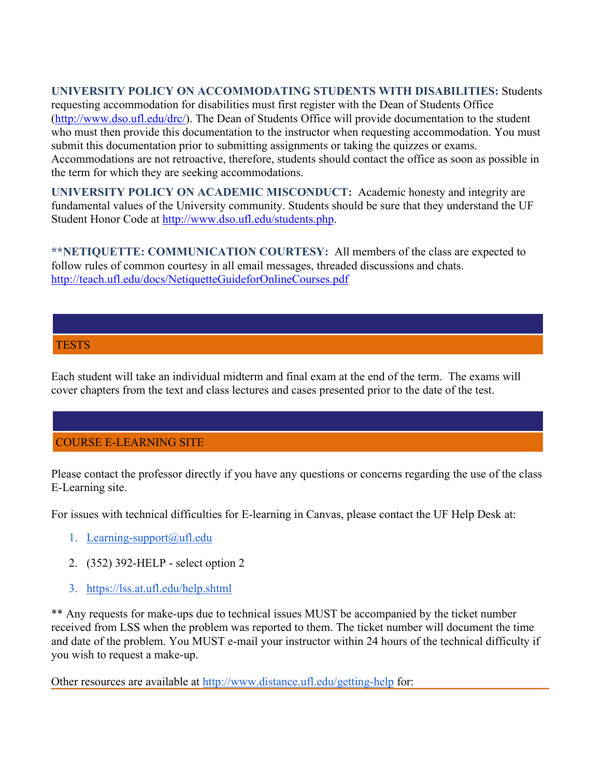## **UNIVERSITY POLICY ON ACCOMMODATING STUDENTS WITH DISABILITIES:** Students

requesting accommodation for disabilities must first register with the Dean of Students Office [\(http://www.dso.ufl.edu/drc/\)](http://www.dso.ufl.edu/drc/). The Dean of Students Office will provide documentation to the student who must then provide this documentation to the instructor when requesting accommodation. You must submit this documentation prior to submitting assignments or taking the quizzes or exams. Accommodations are not retroactive, therefore, students should contact the office as soon as possible in the term for which they are seeking accommodations.

**UNIVERSITY POLICY ON ACADEMIC MISCONDUCT:** Academic honesty and integrity are fundamental values of the University community. Students should be sure that they understand the UF Student Honor Code at [http://www.dso.ufl.edu/students.php.](http://www.dso.ufl.edu/students.php)

**\*\*NETIQUETTE: COMMUNICATION COURTESY:** All members of the class are expected to follow rules of common courtesy in all email messages, threaded discussions and chats. <http://teach.ufl.edu/docs/NetiquetteGuideforOnlineCourses.pdf>

## **TESTS**

Each student will take an individual midterm and final exam at the end of the term. The exams will cover chapters from the text and class lectures and cases presented prior to the date of the test.

## COURSE E-LEARNING SITE

Please contact the professor directly if you have any questions or concerns regarding the use of the class E-Learning site.

For issues with technical difficulties for E-learning in Canvas, please contact the UF Help Desk at:

- 1. [Learning-support@ufl.edu](mailto:Learning-support@ufl.edu)
- 2. (352) 392-HELP select option 2
- 3. <https://lss.at.ufl.edu/help.shtml>

\*\* Any requests for make-ups due to technical issues MUST be accompanied by the ticket number received from LSS when the problem was reported to them. The ticket number will document the time and date of the problem. You MUST e-mail your instructor within 24 hours of the technical difficulty if you wish to request a make-up.

Other resources are available at<http://www.distance.ufl.edu/getting-help> for: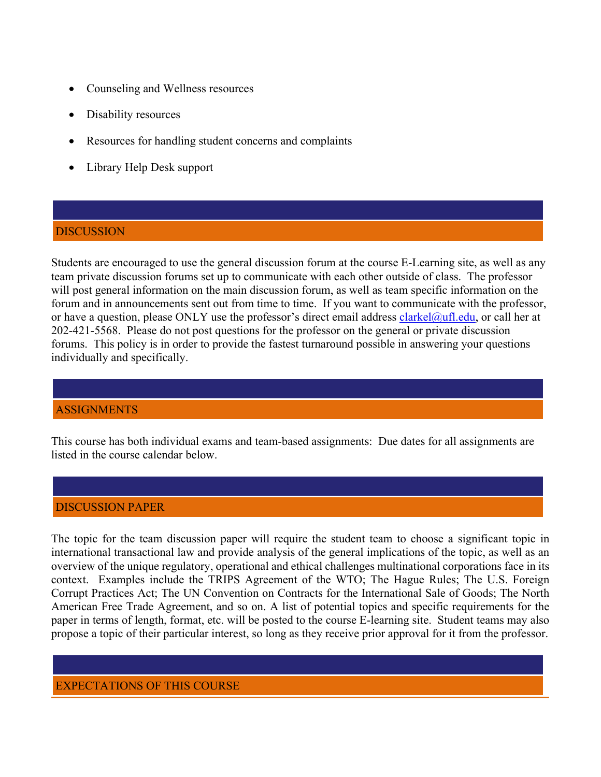- Counseling and Wellness resources
- Disability resources
- Resources for handling student concerns and complaints
- Library Help Desk support

## DISCUSSION

Students are encouraged to use the general discussion forum at the course E-Learning site, as well as any team private discussion forums set up to communicate with each other outside of class. The professor will post general information on the main discussion forum, as well as team specific information on the forum and in announcements sent out from time to time. If you want to communicate with the professor, or have a question, please ONLY use the professor's direct email address [clarkel@ufl.edu,](mailto:clarkel@ufl.edu) or call her at 202-421-5568. Please do not post questions for the professor on the general or private discussion forums. This policy is in order to provide the fastest turnaround possible in answering your questions individually and specifically.

## ASSIGNMENTS

This course has both individual exams and team-based assignments: Due dates for all assignments are listed in the course calendar below.

### DISCUSSION PAPER

The topic for the team discussion paper will require the student team to choose a significant topic in international transactional law and provide analysis of the general implications of the topic, as well as an overview of the unique regulatory, operational and ethical challenges multinational corporations face in its context. Examples include the TRIPS Agreement of the WTO; The Hague Rules; The U.S. Foreign Corrupt Practices Act; The UN Convention on Contracts for the International Sale of Goods; The North American Free Trade Agreement, and so on. A list of potential topics and specific requirements for the paper in terms of length, format, etc. will be posted to the course E-learning site. Student teams may also propose a topic of their particular interest, so long as they receive prior approval for it from the professor.

### EXPECTATIONS OF THIS COURSE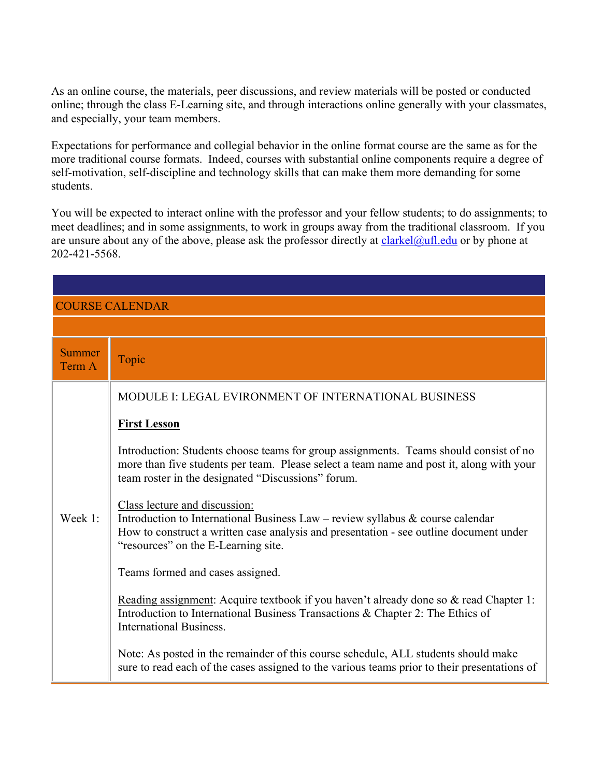As an online course, the materials, peer discussions, and review materials will be posted or conducted online; through the class E-Learning site, and through interactions online generally with your classmates, and especially, your team members.

Expectations for performance and collegial behavior in the online format course are the same as for the more traditional course formats. Indeed, courses with substantial online components require a degree of self-motivation, self-discipline and technology skills that can make them more demanding for some students.

You will be expected to interact online with the professor and your fellow students; to do assignments; to meet deadlines; and in some assignments, to work in groups away from the traditional classroom. If you are unsure about any of the above, please ask the professor directly at [clarkel@ufl.edu](mailto:clarkel@ufl.edu) or by phone at 202-421-5568.

| <b>COURSE CALENDAR</b>  |                                                                                                                                                                                                                                                     |  |
|-------------------------|-----------------------------------------------------------------------------------------------------------------------------------------------------------------------------------------------------------------------------------------------------|--|
|                         |                                                                                                                                                                                                                                                     |  |
| <b>Summer</b><br>Term A | Topic                                                                                                                                                                                                                                               |  |
|                         | MODULE I: LEGAL EVIRONMENT OF INTERNATIONAL BUSINESS<br><b>First Lesson</b>                                                                                                                                                                         |  |
|                         | Introduction: Students choose teams for group assignments. Teams should consist of no<br>more than five students per team. Please select a team name and post it, along with your<br>team roster in the designated "Discussions" forum.             |  |
| Week 1:                 | Class lecture and discussion:<br>Introduction to International Business Law – review syllabus $\&$ course calendar<br>How to construct a written case analysis and presentation - see outline document under<br>"resources" on the E-Learning site. |  |
|                         | Teams formed and cases assigned.                                                                                                                                                                                                                    |  |
|                         | Reading assignment: Acquire textbook if you haven't already done so & read Chapter 1:<br>Introduction to International Business Transactions & Chapter 2: The Ethics of<br><b>International Business.</b>                                           |  |
|                         | Note: As posted in the remainder of this course schedule, ALL students should make<br>sure to read each of the cases assigned to the various teams prior to their presentations of                                                                  |  |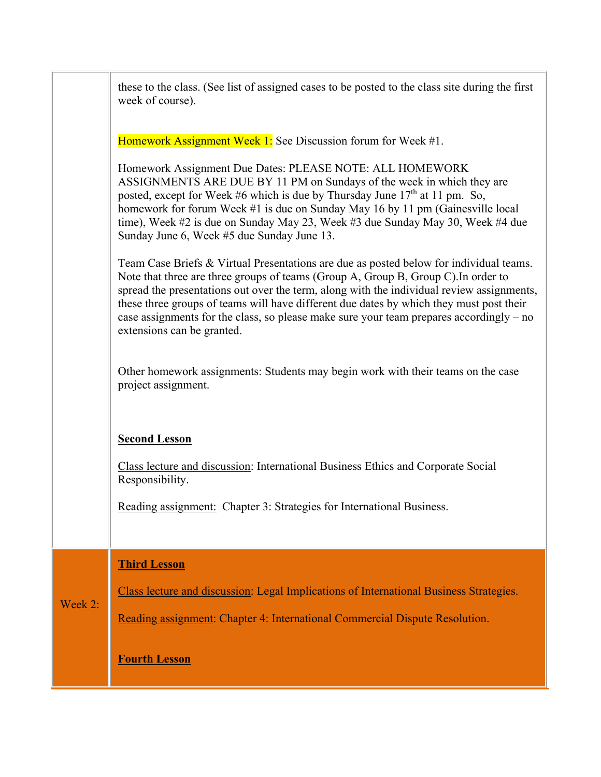|         | these to the class. (See list of assigned cases to be posted to the class site during the first<br>week of course).                                                                                                                                                                                                                                                                                                                                                                           |
|---------|-----------------------------------------------------------------------------------------------------------------------------------------------------------------------------------------------------------------------------------------------------------------------------------------------------------------------------------------------------------------------------------------------------------------------------------------------------------------------------------------------|
|         | Homework Assignment Week 1: See Discussion forum for Week #1.                                                                                                                                                                                                                                                                                                                                                                                                                                 |
|         | Homework Assignment Due Dates: PLEASE NOTE: ALL HOMEWORK<br>ASSIGNMENTS ARE DUE BY 11 PM on Sundays of the week in which they are<br>posted, except for Week #6 which is due by Thursday June $17th$ at 11 pm. So,<br>homework for forum Week #1 is due on Sunday May 16 by 11 pm (Gainesville local<br>time), Week #2 is due on Sunday May 23, Week #3 due Sunday May 30, Week #4 due<br>Sunday June 6, Week #5 due Sunday June 13.                                                          |
|         | Team Case Briefs & Virtual Presentations are due as posted below for individual teams.<br>Note that three are three groups of teams (Group A, Group B, Group C). In order to<br>spread the presentations out over the term, along with the individual review assignments,<br>these three groups of teams will have different due dates by which they must post their<br>case assignments for the class, so please make sure your team prepares accordingly – no<br>extensions can be granted. |
|         | Other homework assignments: Students may begin work with their teams on the case<br>project assignment.                                                                                                                                                                                                                                                                                                                                                                                       |
|         | <b>Second Lesson</b>                                                                                                                                                                                                                                                                                                                                                                                                                                                                          |
|         | Class lecture and discussion: International Business Ethics and Corporate Social<br>Responsibility.                                                                                                                                                                                                                                                                                                                                                                                           |
|         | Reading assignment: Chapter 3: Strategies for International Business.                                                                                                                                                                                                                                                                                                                                                                                                                         |
|         | <b>Third Lesson</b>                                                                                                                                                                                                                                                                                                                                                                                                                                                                           |
| Week 2: | Class lecture and discussion: Legal Implications of International Business Strategies.                                                                                                                                                                                                                                                                                                                                                                                                        |
|         | Reading assignment: Chapter 4: International Commercial Dispute Resolution.                                                                                                                                                                                                                                                                                                                                                                                                                   |
|         | <b>Fourth Lesson</b>                                                                                                                                                                                                                                                                                                                                                                                                                                                                          |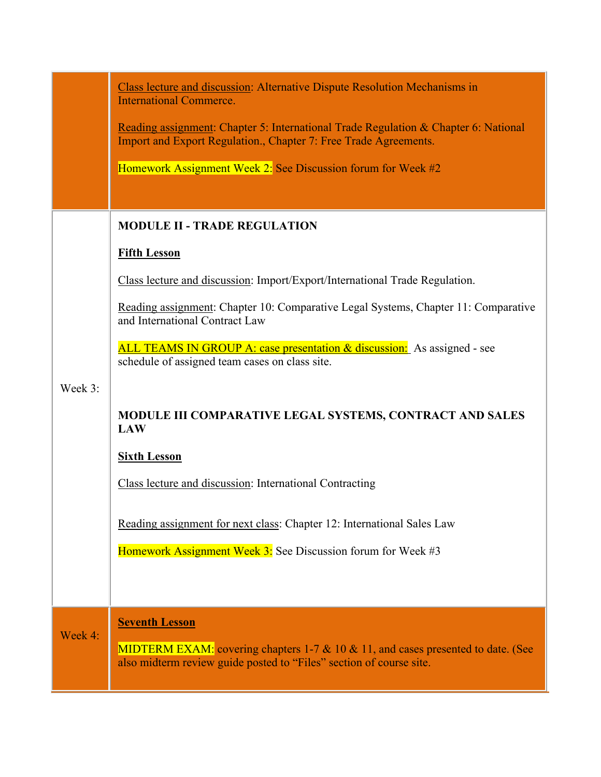|         | Class lecture and discussion: Alternative Dispute Resolution Mechanisms in<br><b>International Commerce.</b>                                            |  |
|---------|---------------------------------------------------------------------------------------------------------------------------------------------------------|--|
|         | Reading assignment: Chapter 5: International Trade Regulation & Chapter 6: National<br>Import and Export Regulation., Chapter 7: Free Trade Agreements. |  |
|         | Homework Assignment Week 2: See Discussion forum for Week #2                                                                                            |  |
|         |                                                                                                                                                         |  |
|         | <b>MODULE II - TRADE REGULATION</b>                                                                                                                     |  |
|         | <b>Fifth Lesson</b>                                                                                                                                     |  |
|         | Class lecture and discussion: Import/Export/International Trade Regulation.                                                                             |  |
|         | Reading assignment: Chapter 10: Comparative Legal Systems, Chapter 11: Comparative<br>and International Contract Law                                    |  |
|         | ALL TEAMS IN GROUP A: case presentation & discussion: As assigned - see<br>schedule of assigned team cases on class site.                               |  |
| Week 3: |                                                                                                                                                         |  |
|         | MODULE III COMPARATIVE LEGAL SYSTEMS, CONTRACT AND SALES<br><b>LAW</b>                                                                                  |  |
|         | <b>Sixth Lesson</b>                                                                                                                                     |  |
|         | Class lecture and discussion: International Contracting                                                                                                 |  |
|         | Reading assignment for next class: Chapter 12: International Sales Law                                                                                  |  |
|         | Homework Assignment Week 3: See Discussion forum for Week #3                                                                                            |  |
|         |                                                                                                                                                         |  |
|         | <b>Seventh Lesson</b>                                                                                                                                   |  |
| Week 4: | MIDTERM EXAM: covering chapters 1-7 & 10 & 11, and cases presented to date. (See<br>also midterm review guide posted to "Files" section of course site. |  |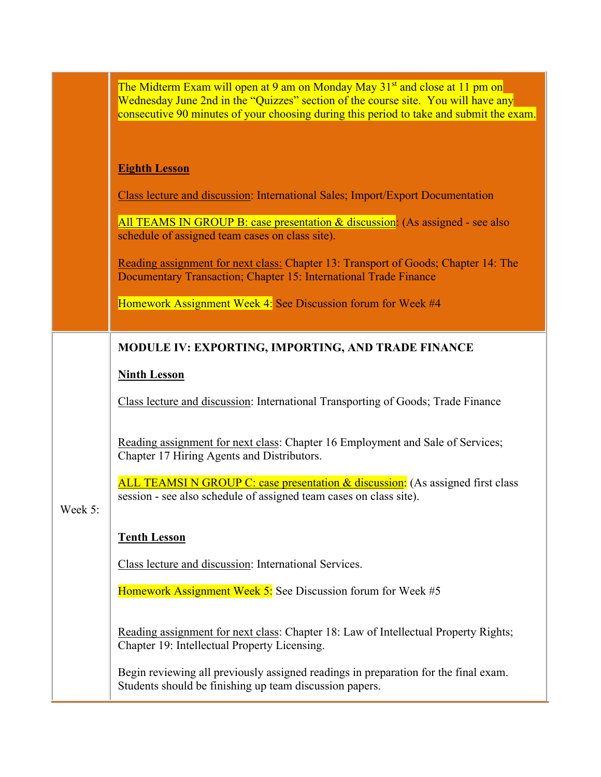|         | The Midterm Exam will open at 9 am on Monday May 31 <sup>st</sup> and close at 11 pm on<br>Wednesday June 2nd in the "Quizzes" section of the course site. You will have any<br>consecutive 90 minutes of your choosing during this period to take and submit the exam. |
|---------|-------------------------------------------------------------------------------------------------------------------------------------------------------------------------------------------------------------------------------------------------------------------------|
|         | <b>Eighth Lesson</b>                                                                                                                                                                                                                                                    |
|         | Class lecture and discussion: International Sales; Import/Export Documentation                                                                                                                                                                                          |
|         | All TEAMS IN GROUP B: case presentation & discussion: (As assigned - see also<br>schedule of assigned team cases on class site).                                                                                                                                        |
|         | Reading assignment for next class: Chapter 13: Transport of Goods; Chapter 14: The<br>Documentary Transaction; Chapter 15: International Trade Finance                                                                                                                  |
|         | Homework Assignment Week 4: See Discussion forum for Week #4                                                                                                                                                                                                            |
|         | MODULE IV: EXPORTING, IMPORTING, AND TRADE FINANCE                                                                                                                                                                                                                      |
|         | <b>Ninth Lesson</b>                                                                                                                                                                                                                                                     |
|         | Class lecture and discussion: International Transporting of Goods; Trade Finance                                                                                                                                                                                        |
|         | Reading assignment for next class: Chapter 16 Employment and Sale of Services;<br>Chapter 17 Hiring Agents and Distributors.                                                                                                                                            |
| Week 5: | ALL TEAMSIN GROUP C: case presentation & discussion: (As assigned first class<br>session - see also schedule of assigned team cases on class site).                                                                                                                     |
|         | <b>Tenth Lesson</b>                                                                                                                                                                                                                                                     |
|         | Class lecture and discussion: International Services.                                                                                                                                                                                                                   |
|         | Homework Assignment Week 5: See Discussion forum for Week #5                                                                                                                                                                                                            |
|         | Reading assignment for next class: Chapter 18: Law of Intellectual Property Rights;<br>Chapter 19: Intellectual Property Licensing.                                                                                                                                     |
|         | Begin reviewing all previously assigned readings in preparation for the final exam.<br>Students should be finishing up team discussion papers.                                                                                                                          |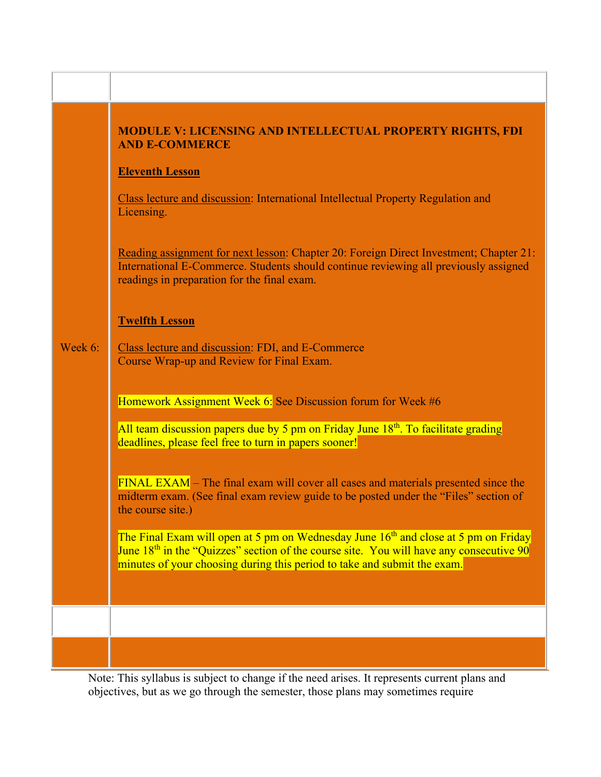## **MODULE V: LICENSING AND INTELLECTUAL PROPERTY RIGHTS, FDI AND E-COMMERCE**

#### **Eleventh Lesson**

Class lecture and discussion: International Intellectual Property Regulation and Licensing.

Reading assignment for next lesson: Chapter 20: Foreign Direct Investment; Chapter 21: International E-Commerce. Students should continue reviewing all previously assigned readings in preparation for the final exam.

#### **Twelfth Lesson**

Week 6: Class lecture and discussion: FDI, and E-Commerce Course Wrap-up and Review for Final Exam.

Homework Assignment Week 6: See Discussion forum for Week #6

All team discussion papers due by 5 pm on Friday June  $18<sup>th</sup>$ . To facilitate grading deadlines, please feel free to turn in papers sooner!

FINAL EXAM – The final exam will cover all cases and materials presented since the midterm exam. (See final exam review guide to be posted under the "Files" section of the course site.)

The Final Exam will open at 5 pm on Wednesday June  $16<sup>th</sup>$  and close at 5 pm on Friday June  $18<sup>th</sup>$  in the "Quizzes" section of the course site. You will have any consecutive 90 minutes of your choosing during this period to take and submit the exam.

Note: This syllabus is subject to change if the need arises. It represents current plans and objectives, but as we go through the semester, those plans may sometimes require